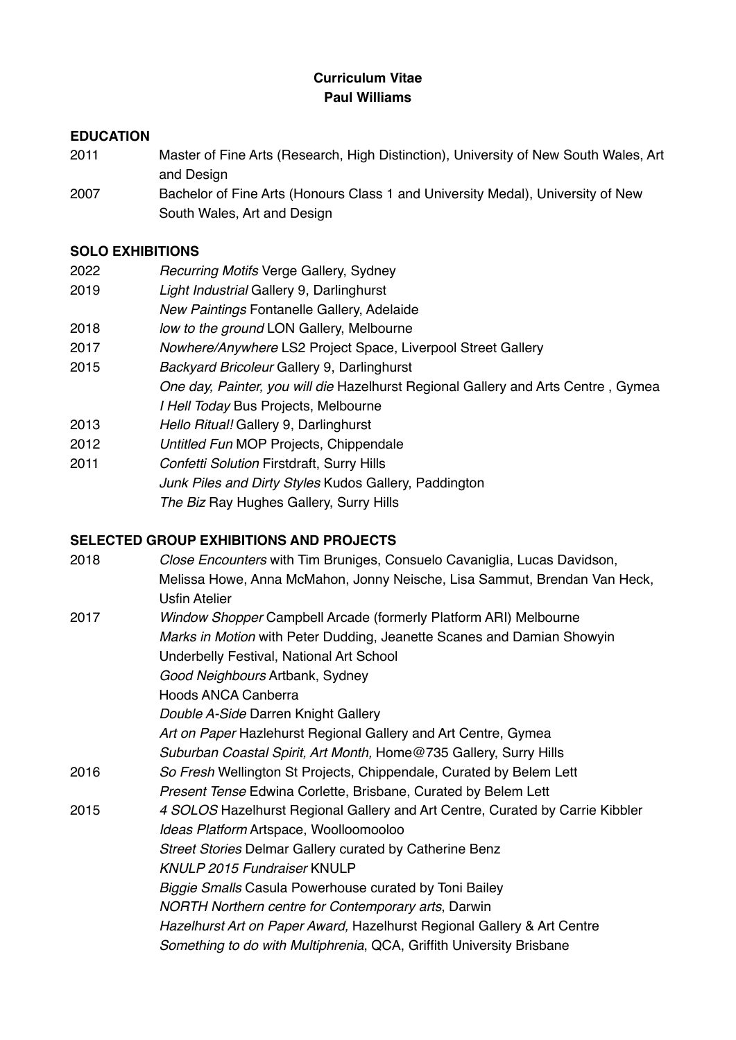## **Curriculum Vitae Paul Williams**

## **EDUCATION**

- 2011 Master of Fine Arts (Research, High Distinction), University of New South Wales, Art and Design
- 2007 Bachelor of Fine Arts (Honours Class 1 and University Medal), University of New South Wales, Art and Design

### **SOLO EXHIBITIONS**

- 2022 *Recurring Motifs* Verge Gallery, Sydney
- 2019 *Light Industrial* Gallery 9, Darlinghurst
- *New Paintings* Fontanelle Gallery, Adelaide
- 2018 *low to the ground* LON Gallery, Melbourne
- 2017 *Nowhere/Anywhere* LS2 Project Space, Liverpool Street Gallery
- 2015 *Backyard Bricoleur* Gallery 9, Darlinghurst *One day, Painter, you will die* Hazelhurst Regional Gallery and Arts Centre , Gymea *I Hell Today* Bus Projects, Melbourne
- 2013 *Hello Ritual!* Gallery 9, Darlinghurst
- 2012 *Untitled Fun* MOP Projects, Chippendale
- 2011 *Confetti Solution* Firstdraft, Surry Hills *Junk Piles and Dirty Styles* Kudos Gallery, Paddington **The Biz Ray Hughes Gallery, Surry Hills**

## **SELECTED GROUP EXHIBITIONS AND PROJECTS**

| 2018 | Close Encounters with Tim Bruniges, Consuelo Cavaniglia, Lucas Davidson,      |
|------|-------------------------------------------------------------------------------|
|      | Melissa Howe, Anna McMahon, Jonny Neische, Lisa Sammut, Brendan Van Heck,     |
|      | <b>Usfin Atelier</b>                                                          |
| 2017 | Window Shopper Campbell Arcade (formerly Platform ARI) Melbourne              |
|      | Marks in Motion with Peter Dudding, Jeanette Scanes and Damian Showyin        |
|      | Underbelly Festival, National Art School                                      |
|      | Good Neighbours Artbank, Sydney                                               |
|      | <b>Hoods ANCA Canberra</b>                                                    |
|      | Double A-Side Darren Knight Gallery                                           |
|      | Art on Paper Hazlehurst Regional Gallery and Art Centre, Gymea                |
|      | Suburban Coastal Spirit, Art Month, Home@735 Gallery, Surry Hills             |
| 2016 | So Fresh Wellington St Projects, Chippendale, Curated by Belem Lett           |
|      | Present Tense Edwina Corlette, Brisbane, Curated by Belem Lett                |
| 2015 | 4 SOLOS Hazelhurst Regional Gallery and Art Centre, Curated by Carrie Kibbler |
|      | Ideas Platform Artspace, Woolloomooloo                                        |
|      | <b>Street Stories Delmar Gallery curated by Catherine Benz</b>                |
|      | <b>KNULP 2015 Fundraiser KNULP</b>                                            |
|      | Biggie Smalls Casula Powerhouse curated by Toni Bailey                        |
|      | NORTH Northern centre for Contemporary arts, Darwin                           |
|      | Hazelhurst Art on Paper Award, Hazelhurst Regional Gallery & Art Centre       |
|      | Something to do with Multiphrenia, QCA, Griffith University Brisbane          |
|      |                                                                               |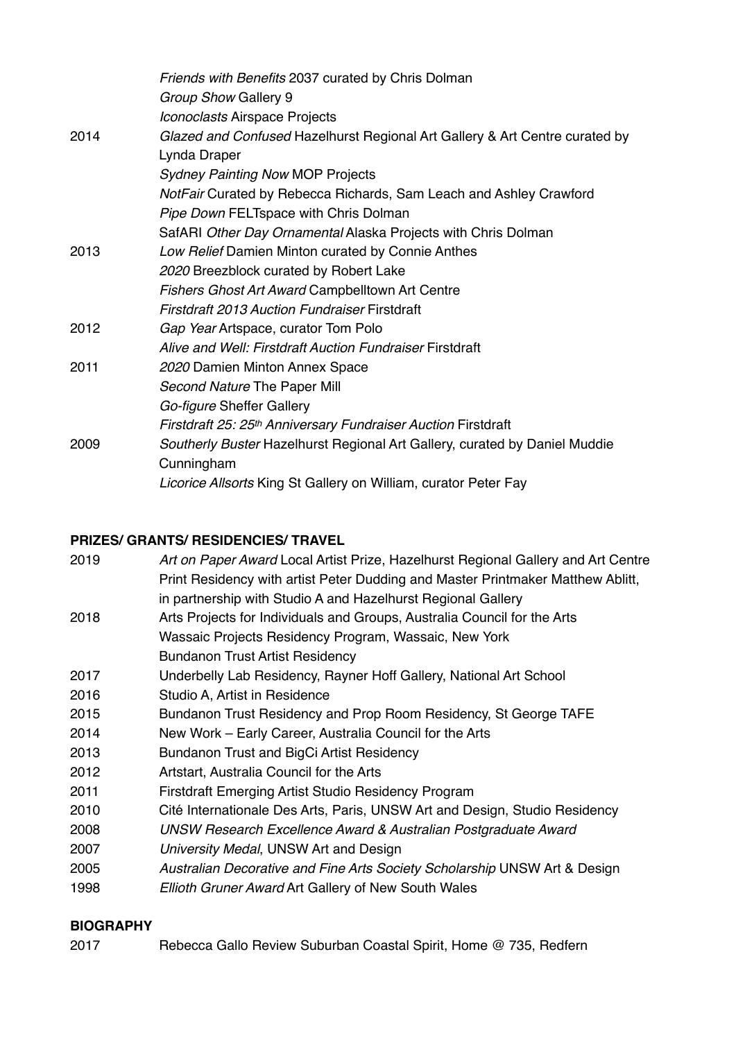|      | Friends with Benefits 2037 curated by Chris Dolman                                          |
|------|---------------------------------------------------------------------------------------------|
|      | Group Show Gallery 9                                                                        |
|      | Iconoclasts Airspace Projects                                                               |
| 2014 | Glazed and Confused Hazelhurst Regional Art Gallery & Art Centre curated by<br>Lynda Draper |
|      | <b>Sydney Painting Now MOP Projects</b>                                                     |
|      | NotFair Curated by Rebecca Richards, Sam Leach and Ashley Crawford                          |
|      | Pipe Down FELTspace with Chris Dolman                                                       |
|      | SafARI Other Day Ornamental Alaska Projects with Chris Dolman                               |
| 2013 | Low Relief Damien Minton curated by Connie Anthes                                           |
|      | 2020 Breezblock curated by Robert Lake                                                      |
|      | Fishers Ghost Art Award Campbelltown Art Centre                                             |
|      | <b>Firstdraft 2013 Auction Fundraiser Firstdraft</b>                                        |
| 2012 | Gap Year Artspace, curator Tom Polo                                                         |
|      | Alive and Well: Firstdraft Auction Fundraiser Firstdraft                                    |
| 2011 | 2020 Damien Minton Annex Space                                                              |
|      | Second Nature The Paper Mill                                                                |
|      | Go-figure Sheffer Gallery                                                                   |
|      | Firstdraft 25: 25 <sup>th</sup> Anniversary Fundraiser Auction Firstdraft                   |
| 2009 | Southerly Buster Hazelhurst Regional Art Gallery, curated by Daniel Muddie                  |
|      | Cunningham                                                                                  |
|      | Licorice Allsorts King St Gallery on William, curator Peter Fay                             |

# **PRIZES/ GRANTS/ RESIDENCIES/ TRAVEL**

| Print Residency with artist Peter Dudding and Master Printmaker Matthew Ablitt,<br>in partnership with Studio A and Hazelhurst Regional Gallery |  |
|-------------------------------------------------------------------------------------------------------------------------------------------------|--|
| Arts Projects for Individuals and Groups, Australia Council for the Arts<br>2018                                                                |  |
| Wassaic Projects Residency Program, Wassaic, New York                                                                                           |  |
| <b>Bundanon Trust Artist Residency</b>                                                                                                          |  |
| 2017<br>Underbelly Lab Residency, Rayner Hoff Gallery, National Art School                                                                      |  |
| 2016<br>Studio A, Artist in Residence                                                                                                           |  |
| 2015<br>Bundanon Trust Residency and Prop Room Residency, St George TAFE                                                                        |  |
| 2014<br>New Work – Early Career, Australia Council for the Arts                                                                                 |  |
| 2013<br>Bundanon Trust and BigCi Artist Residency                                                                                               |  |
| 2012<br>Artstart, Australia Council for the Arts                                                                                                |  |
| 2011<br><b>Firstdraft Emerging Artist Studio Residency Program</b>                                                                              |  |
| 2010<br>Cité Internationale Des Arts, Paris, UNSW Art and Design, Studio Residency                                                              |  |
| 2008<br>UNSW Research Excellence Award & Australian Postgraduate Award                                                                          |  |
| 2007<br>University Medal, UNSW Art and Design                                                                                                   |  |
| 2005<br>Australian Decorative and Fine Arts Society Scholarship UNSW Art & Design                                                               |  |
| 1998<br>Ellioth Gruner Award Art Gallery of New South Wales                                                                                     |  |

# **BIOGRAPHY**

2017 Rebecca Gallo Review Suburban Coastal Spirit, Home @ 735, Redfern